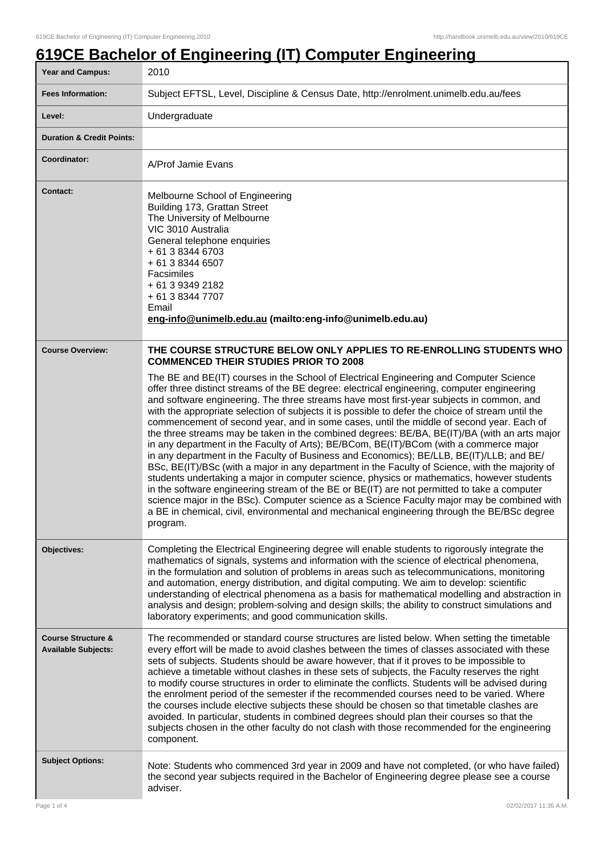## **619CE Bachelor of Engineering (IT) Computer Engineering**

| <b>Year and Campus:</b>                                     | 2010                                                                                                                                                                                                                                                                                                                                                                                                                                                                                                                                                                                                                                                                                                                                                                                                                                                                                                                                                                                                                                                                                                                                                                                                                                                                                                                                                                                                       |
|-------------------------------------------------------------|------------------------------------------------------------------------------------------------------------------------------------------------------------------------------------------------------------------------------------------------------------------------------------------------------------------------------------------------------------------------------------------------------------------------------------------------------------------------------------------------------------------------------------------------------------------------------------------------------------------------------------------------------------------------------------------------------------------------------------------------------------------------------------------------------------------------------------------------------------------------------------------------------------------------------------------------------------------------------------------------------------------------------------------------------------------------------------------------------------------------------------------------------------------------------------------------------------------------------------------------------------------------------------------------------------------------------------------------------------------------------------------------------------|
| <b>Fees Information:</b>                                    | Subject EFTSL, Level, Discipline & Census Date, http://enrolment.unimelb.edu.au/fees                                                                                                                                                                                                                                                                                                                                                                                                                                                                                                                                                                                                                                                                                                                                                                                                                                                                                                                                                                                                                                                                                                                                                                                                                                                                                                                       |
| Level:                                                      | Undergraduate                                                                                                                                                                                                                                                                                                                                                                                                                                                                                                                                                                                                                                                                                                                                                                                                                                                                                                                                                                                                                                                                                                                                                                                                                                                                                                                                                                                              |
| <b>Duration &amp; Credit Points:</b>                        |                                                                                                                                                                                                                                                                                                                                                                                                                                                                                                                                                                                                                                                                                                                                                                                                                                                                                                                                                                                                                                                                                                                                                                                                                                                                                                                                                                                                            |
| Coordinator:                                                | A/Prof Jamie Evans                                                                                                                                                                                                                                                                                                                                                                                                                                                                                                                                                                                                                                                                                                                                                                                                                                                                                                                                                                                                                                                                                                                                                                                                                                                                                                                                                                                         |
| <b>Contact:</b>                                             | Melbourne School of Engineering<br>Building 173, Grattan Street<br>The University of Melbourne<br>VIC 3010 Australia<br>General telephone enquiries<br>+ 61 3 8344 6703<br>+ 61 3 8344 6507<br>Facsimiles<br>+ 61 3 9349 2182<br>+ 61 3 8344 7707<br>Email<br>eng-info@unimelb.edu.au (mailto:eng-info@unimelb.edu.au)                                                                                                                                                                                                                                                                                                                                                                                                                                                                                                                                                                                                                                                                                                                                                                                                                                                                                                                                                                                                                                                                                     |
| <b>Course Overview:</b>                                     | THE COURSE STRUCTURE BELOW ONLY APPLIES TO RE-ENROLLING STUDENTS WHO<br><b>COMMENCED THEIR STUDIES PRIOR TO 2008</b><br>The BE and BE(IT) courses in the School of Electrical Engineering and Computer Science<br>offer three distinct streams of the BE degree: electrical engineering, computer engineering<br>and software engineering. The three streams have most first-year subjects in common, and<br>with the appropriate selection of subjects it is possible to defer the choice of stream until the<br>commencement of second year, and in some cases, until the middle of second year. Each of<br>the three streams may be taken in the combined degrees: BE/BA, BE(IT)/BA (with an arts major<br>in any department in the Faculty of Arts); BE/BCom, BE(IT)/BCom (with a commerce major<br>in any department in the Faculty of Business and Economics); BE/LLB, BE(IT)/LLB; and BE/<br>BSc, BE(IT)/BSc (with a major in any department in the Faculty of Science, with the majority of<br>students undertaking a major in computer science, physics or mathematics, however students<br>in the software engineering stream of the BE or BE(IT) are not permitted to take a computer<br>science major in the BSc). Computer science as a Science Faculty major may be combined with<br>a BE in chemical, civil, environmental and mechanical engineering through the BE/BSc degree<br>program. |
| Objectives:                                                 | Completing the Electrical Engineering degree will enable students to rigorously integrate the<br>mathematics of signals, systems and information with the science of electrical phenomena,<br>in the formulation and solution of problems in areas such as telecommunications, monitoring<br>and automation, energy distribution, and digital computing. We aim to develop: scientific<br>understanding of electrical phenomena as a basis for mathematical modelling and abstraction in<br>analysis and design; problem-solving and design skills; the ability to construct simulations and<br>laboratory experiments; and good communication skills.                                                                                                                                                                                                                                                                                                                                                                                                                                                                                                                                                                                                                                                                                                                                                     |
| <b>Course Structure &amp;</b><br><b>Available Subjects:</b> | The recommended or standard course structures are listed below. When setting the timetable<br>every effort will be made to avoid clashes between the times of classes associated with these<br>sets of subjects. Students should be aware however, that if it proves to be impossible to<br>achieve a timetable without clashes in these sets of subjects, the Faculty reserves the right<br>to modify course structures in order to eliminate the conflicts. Students will be advised during<br>the enrolment period of the semester if the recommended courses need to be varied. Where<br>the courses include elective subjects these should be chosen so that timetable clashes are<br>avoided. In particular, students in combined degrees should plan their courses so that the<br>subjects chosen in the other faculty do not clash with those recommended for the engineering<br>component.                                                                                                                                                                                                                                                                                                                                                                                                                                                                                                        |
| <b>Subject Options:</b>                                     | Note: Students who commenced 3rd year in 2009 and have not completed, (or who have failed)<br>the second year subjects required in the Bachelor of Engineering degree please see a course<br>adviser.                                                                                                                                                                                                                                                                                                                                                                                                                                                                                                                                                                                                                                                                                                                                                                                                                                                                                                                                                                                                                                                                                                                                                                                                      |
| Page 1 of 4                                                 | 02/02/2017 11:35 A.M.                                                                                                                                                                                                                                                                                                                                                                                                                                                                                                                                                                                                                                                                                                                                                                                                                                                                                                                                                                                                                                                                                                                                                                                                                                                                                                                                                                                      |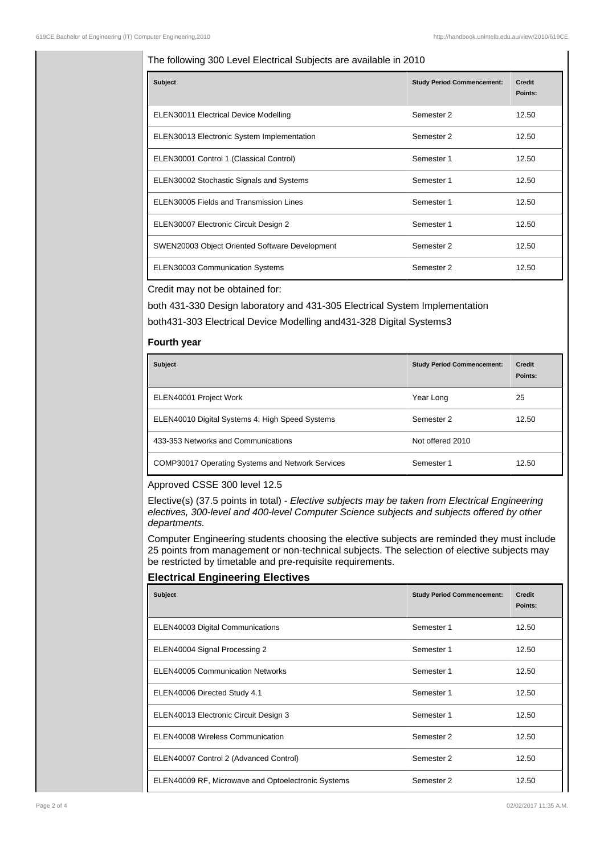## The following 300 Level Electrical Subjects are available in 2010

| <b>Subject</b>                                 | <b>Study Period Commencement:</b> | <b>Credit</b><br>Points: |
|------------------------------------------------|-----------------------------------|--------------------------|
| <b>ELEN30011 Electrical Device Modelling</b>   | Semester 2                        | 12.50                    |
| ELEN30013 Electronic System Implementation     | Semester 2                        | 12.50                    |
| ELEN30001 Control 1 (Classical Control)        | Semester 1                        | 12.50                    |
| ELEN30002 Stochastic Signals and Systems       | Semester 1                        | 12.50                    |
| ELEN30005 Fields and Transmission Lines        | Semester 1                        | 12.50                    |
| ELEN30007 Electronic Circuit Design 2          | Semester 1                        | 12.50                    |
| SWEN20003 Object Oriented Software Development | Semester 2                        | 12.50                    |
| <b>ELEN30003 Communication Systems</b>         | Semester 2                        | 12.50                    |

Credit may not be obtained for:

both 431-330 Design laboratory and 431-305 Electrical System Implementation both431-303 Electrical Device Modelling and431-328 Digital Systems3

## **Fourth year**

| <b>Subject</b>                                          | <b>Study Period Commencement:</b> | <b>Credit</b><br>Points: |
|---------------------------------------------------------|-----------------------------------|--------------------------|
| ELEN40001 Project Work                                  | Year Long                         | 25                       |
| ELEN40010 Digital Systems 4: High Speed Systems         | Semester 2                        | 12.50                    |
| 433-353 Networks and Communications                     | Not offered 2010                  |                          |
| <b>COMP30017 Operating Systems and Network Services</b> | Semester 1                        | 12.50                    |

Approved CSSE 300 level 12.5

Elective(s) (37.5 points in total) - Elective subjects may be taken from Electrical Engineering electives, 300-level and 400-level Computer Science subjects and subjects offered by other departments.

Computer Engineering students choosing the elective subjects are reminded they must include 25 points from management or non-technical subjects. The selection of elective subjects may be restricted by timetable and pre-requisite requirements.

## **Electrical Engineering Electives**

| <b>Subject</b>                                     | <b>Study Period Commencement:</b> | <b>Credit</b><br>Points: |
|----------------------------------------------------|-----------------------------------|--------------------------|
| ELEN40003 Digital Communications                   | Semester 1                        | 12.50                    |
| ELEN40004 Signal Processing 2                      | Semester 1                        | 12.50                    |
| ELEN40005 Communication Networks                   | Semester 1                        | 12.50                    |
| ELEN40006 Directed Study 4.1                       | Semester 1                        | 12.50                    |
| ELEN40013 Electronic Circuit Design 3              | Semester 1                        | 12.50                    |
| ELEN40008 Wireless Communication                   | Semester 2                        | 12.50                    |
| ELEN40007 Control 2 (Advanced Control)             | Semester 2                        | 12.50                    |
| ELEN40009 RF, Microwave and Optoelectronic Systems | Semester 2                        | 12.50                    |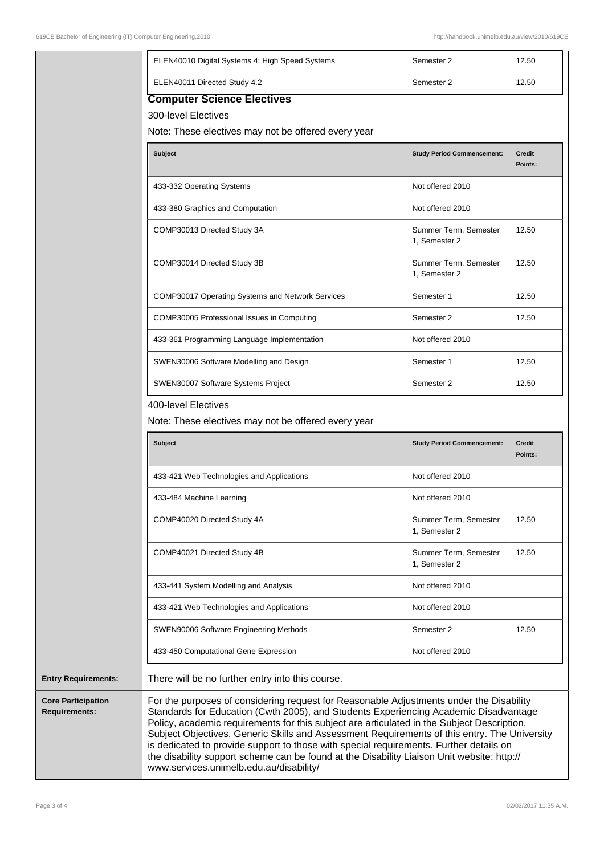|                            | ELEN40010 Digital Systems 4: High Speed Systems                                                                 | Semester 2                             | 12.50                    |
|----------------------------|-----------------------------------------------------------------------------------------------------------------|----------------------------------------|--------------------------|
|                            | ELEN40011 Directed Study 4.2                                                                                    | Semester 2                             | 12.50                    |
|                            | <b>Computer Science Electives</b><br>300-level Electives<br>Note: These electives may not be offered every year |                                        |                          |
|                            | <b>Subject</b>                                                                                                  | <b>Study Period Commencement:</b>      | <b>Credit</b><br>Points: |
|                            | 433-332 Operating Systems                                                                                       | Not offered 2010                       |                          |
|                            | 433-380 Graphics and Computation                                                                                | Not offered 2010                       |                          |
|                            | COMP30013 Directed Study 3A                                                                                     | Summer Term, Semester<br>1, Semester 2 | 12.50                    |
|                            | COMP30014 Directed Study 3B                                                                                     | Summer Term, Semester<br>1, Semester 2 | 12.50                    |
|                            | COMP30017 Operating Systems and Network Services                                                                | Semester 1                             | 12.50                    |
|                            | COMP30005 Professional Issues in Computing                                                                      | Semester 2                             | 12.50                    |
|                            | 433-361 Programming Language Implementation                                                                     | Not offered 2010                       |                          |
|                            | SWEN30006 Software Modelling and Design                                                                         | Semester 1                             | 12.50                    |
|                            | SWEN30007 Software Systems Project                                                                              | Semester 2                             | 12.50                    |
|                            | 400-level Electives<br>Note: These electives may not be offered every year                                      |                                        |                          |
|                            | <b>Subject</b>                                                                                                  | <b>Study Period Commencement:</b>      | <b>Credit</b><br>Points: |
|                            | 433-421 Web Technologies and Applications                                                                       | Not offered 2010                       |                          |
|                            | 433-484 Machine Learning                                                                                        | Not offered 2010                       |                          |
|                            | COMP40020 Directed Study 4A                                                                                     | Summer Term, Semester<br>1, Semester 2 | 12.50                    |
|                            | COMP40021 Directed Study 4B                                                                                     | Summer Term, Semester<br>1, Semester 2 | 12.50                    |
|                            | 433-441 System Modelling and Analysis                                                                           | Not offered 2010                       |                          |
|                            | 433-421 Web Technologies and Applications                                                                       | Not offered 2010                       |                          |
|                            | SWEN90006 Software Engineering Methods                                                                          | Semester 2                             | 12.50                    |
|                            | 433-450 Computational Gene Expression                                                                           | Not offered 2010                       |                          |
| <b>Entry Requirements:</b> | There will be no further entry into this course.                                                                |                                        |                          |

Core **Requ**